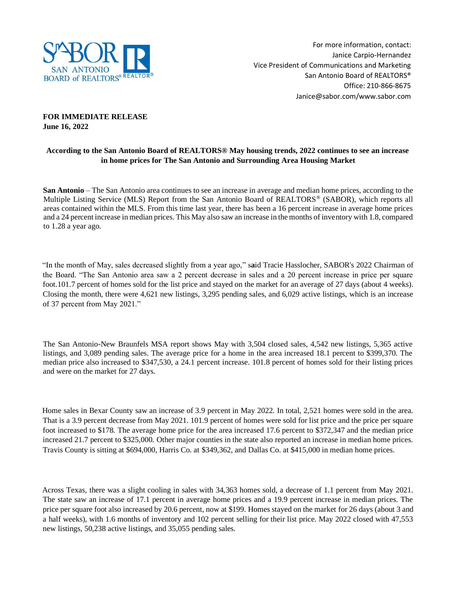

## **FOR IMMEDIATE RELEASE June 16, 2022**

# **According to the San Antonio Board of REALTORS® May housing trends, 2022 continues to see an increase in home prices for The San Antonio and Surrounding Area Housing Market**

**San Antonio** – The San Antonio area continues to see an increase in average and median home prices, according to the Multiple Listing Service (MLS) Report from the San Antonio Board of REALTORS® (SABOR), which reports all areas contained within the MLS. From this time last year, there has been a 16 percent increase in average home prices and a 24 percent increase in median prices. This May also saw an increase in the months of inventory with 1.8, compared to 1.28 a year ago.

"In the month of May, sales decreased slightly from a year ago," s**a**id Tracie Hasslocher, SABOR's 2022 Chairman of the Board. "The San Antonio area saw a 2 percent decrease in sales and a 20 percent increase in price per square foot.101.7 percent of homes sold for the list price and stayed on the market for an average of 27 days (about 4 weeks). Closing the month, there were 4,621 new listings, 3,295 pending sales, and 6,029 active listings, which is an increase of 37 percent from May 2021."

The San Antonio-New Braunfels MSA report shows May with 3,504 closed sales, 4,542 new listings, 5,365 active listings, and 3,089 pending sales. The average price for a home in the area increased 18.1 percent to \$399,370. The median price also increased to \$347,530, a 24.1 percent increase. 101.8 percent of homes sold for their listing prices and were on the market for 27 days.

Home sales in Bexar County saw an increase of 3.9 percent in May 2022. In total, 2,521 homes were sold in the area. That is a 3.9 percent decrease from May 2021. 101.9 percent of homes were sold for list price and the price per square foot increased to \$178. The average home price for the area increased 17.6 percent to \$372,347 and the median price increased 21.7 percent to \$325,000. Other major counties in the state also reported an increase in median home prices. Travis County is sitting at \$694,000, Harris Co. at \$349,362, and Dallas Co. at \$415,000 in median home prices.

Across Texas, there was a slight cooling in sales with 34,363 homes sold, a decrease of 1.1 percent from May 2021. The state saw an increase of 17.1 percent in average home prices and a 19.9 percent increase in median prices. The price per square foot also increased by 20.6 percent, now at \$199. Homes stayed on the market for 26 days (about 3 and a half weeks), with 1.6 months of inventory and 102 percent selling for their list price. May 2022 closed with 47,553 new listings, 50,238 active listings, and 35,055 pending sales.